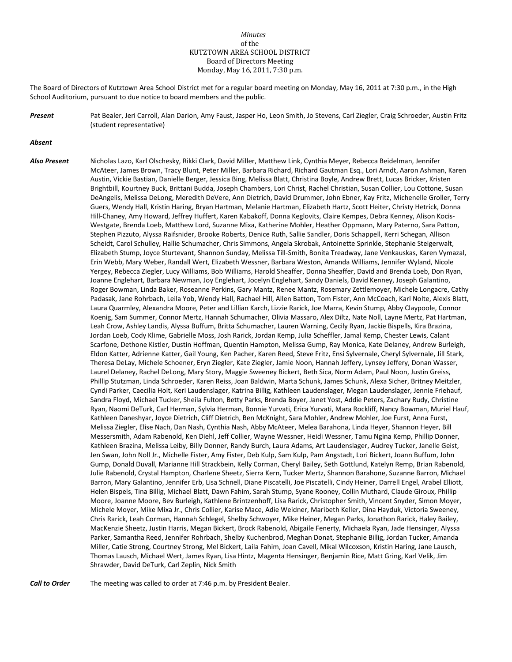## *Minutes* of the KUTZTOWN AREA SCHOOL DISTRICT Board of Directors Meeting Monday, May 16, 2011, 7:30 p.m.

The Board of Directors of Kutztown Area School District met for a regular board meeting on Monday, May 16, 2011 at 7:30 p.m., in the High School Auditorium, pursuant to due notice to board members and the public.

*Present* Pat Bealer, Jeri Carroll, Alan Darion, Amy Faust, Jasper Ho, Leon Smith, Jo Stevens, Carl Ziegler, Craig Schroeder, Austin Fritz (student representative)

## *Absent*

*Also Present* Nicholas Lazo, Karl Olschesky, Rikki Clark, David Miller, Matthew Link, Cynthia Meyer, Rebecca Beidelman, Jennifer McAteer, James Brown, Tracy Blunt, Peter Miller, Barbara Richard, Richard Gautman Esq., Lori Arndt, Aaron Ashman, Karen Austin, Vickie Bastian, Danielle Berger, Jessica Bing, Melissa Blatt, Christina Boyle, Andrew Brett, Lucas Bricker, Kristen Brightbill, Kourtney Buck, Brittani Budda, Joseph Chambers, Lori Christ, Rachel Christian, Susan Collier, Lou Cottone, Susan DeAngelis, Melissa DeLong, Meredith DeVere, Ann Dietrich, David Drummer, John Ebner, Kay Fritz, Michenelle Groller, Terry Guers, Wendy Hall, Kristin Haring, Bryan Hartman, Melanie Hartman, Elizabeth Hartz, Scott Heiter, Christy Hetrick, Donna Hill-Chaney, Amy Howard, Jeffrey Huffert, Karen Kabakoff, Donna Keglovits, Claire Kempes, Debra Kenney, Alison Kocis-Westgate, Brenda Loeb, Matthew Lord, Suzanne Mixa, Katherine Mohler, Heather Oppmann, Mary Paterno, Sara Patton, Stephen Pizzuto, Alyssa Raifsnider, Brooke Roberts, Denice Ruth, Sallie Sandler, Doris Schappell, Kerri Schegan, Allison Scheidt, Carol Schulley, Hallie Schumacher, Chris Simmons, Angela Skrobak, Antoinette Sprinkle, Stephanie Steigerwalt, Elizabeth Stump, Joyce Sturtevant, Shannon Sunday, Melissa Till-Smith, Bonita Treadway, Jane Venkauskas, Karen Vymazal, Erin Webb, Mary Weber, Randall Wert, Elizabeth Wessner, Barbara Weston, Amanda Williams, Jennifer Wyland, Nicole Yergey, Rebecca Ziegler, Lucy Williams, Bob Williams, Harold Sheaffer, Donna Sheaffer, David and Brenda Loeb, Don Ryan, Joanne Englehart, Barbara Newman, Joy Englehart, Jocelyn Englehart, Sandy Daniels, David Kenney, Joseph Galantino, Roger Bowman, Linda Baker, Roseanne Perkins, Gary Mantz, Renee Mantz, Rosemary Zettlemoyer, Michele Longacre, Cathy Padasak, Jane Rohrbach, Leila Yob, Wendy Hall, Rachael Hill, Allen Batton, Tom Fister, Ann McCoach, Karl Nolte, Alexis Blatt, Laura Quarmley, Alexandra Moore, Peter and Lillian Karch, Lizzie Rarick, Joe Marra, Kevin Stump, Abby Claypoole, Connor Koenig, Sam Summer, Connor Mertz, Hannah Schumacher, Olivia Massaro, Alex Diltz, Nate Noll, Layne Mertz, Pat Hartman, Leah Crow, Ashley Landis, Alyssa Buffum, Britta Schumacher, Lauren Warning, Cecily Ryan, Jackie Bispells, Kira Brazina, Jordan Loeb, Cody Klime, Gabrielle Moss, Josh Rarick, Jordan Kemp, Julia Scheffler, Jamal Kemp, Chester Lewis, Calant Scarfone, Dethone Kistler, Dustin Hoffman, Quentin Hampton, Melissa Gump, Ray Monica, Kate Delaney, Andrew Burleigh, Eldon Katter, Adrienne Katter, Gail Young, Ken Pacher, Karen Reed, Steve Fritz, Ensi Sylvernale, Cheryl Sylvernale, Jill Stark, Theresa DeLay, Michele Schoener, Eryn Ziegler, Kate Ziegler, Jamie Noon, Hannah Jeffery, Lynsey Jeffery, Donan Wasser, Laurel Delaney, Rachel DeLong, Mary Story, Maggie Sweeney Bickert, Beth Sica, Norm Adam, Paul Noon, Justin Greiss, Phillip Stutzman, Linda Schroeder, Karen Reiss, Joan Baldwin, Marta Schunk, James Schunk, Alexa Sicher, Britney Meitzler, Cyndi Parker, Caecilia Holt, Keri Laudenslager, Katrina Billig, Kathleen Laudenslager, Megan Laudenslager, Jennie Friehauf, Sandra Floyd, Michael Tucker, Sheila Fulton, Betty Parks, Brenda Boyer, Janet Yost, Addie Peters, Zachary Rudy, Christine Ryan, Naomi DeTurk, Carl Herman, Sylvia Herman, Bonnie Yurvati, Erica Yurvati, Mara Rockliff, Nancy Bowman, Muriel Hauf, Kathleen Daneshyar, Joyce Dietrich, Cliff Dietrich, Ben McKnight, Sara Mohler, Andrew Mohler, Joe Furst, Anna Furst, Melissa Ziegler, Elise Nach, Dan Nash, Cynthia Nash, Abby McAteer, Melea Barahona, Linda Heyer, Shannon Heyer, Bill Messersmith, Adam Rabenold, Ken Diehl, Jeff Collier, Wayne Wessner, Heidi Wessner, Tamu Ngina Kemp, Phillip Donner, Kathleen Brazina, Melissa Leiby, Billy Donner, Randy Burch, Laura Adams, Art Laudenslager, Audrey Tucker, Janelle Geist, Jen Swan, John Noll Jr., Michelle Fister, Amy Fister, Deb Kulp, Sam Kulp, Pam Angstadt, Lori Bickert, Joann Buffum, John Gump, Donald Duvall, Marianne Hill Strackbein, Kelly Corman, Cheryl Bailey, Seth Gottlund, Katelyn Remp, Brian Rabenold, Julie Rabenold, Crystal Hampton, Charlene Sheetz, Sierra Kern, Tucker Mertz, Shannon Barahone, Suzanne Barron, Michael Barron, Mary Galantino, Jennifer Erb, Lisa Schnell, Diane Piscatelli, Joe Piscatelli, Cindy Heiner, Darrell Engel, Arabel Elliott, Helen Bispels, Tina Billig, Michael Blatt, Dawn Fahim, Sarah Stump, Syane Rooney, Collin Muthard, Claude Giroux, Phillip Moore, Joanne Moore, Bev Burleigh, Kathlene Brintzenhoff, Lisa Rarick, Christopher Smith, Vincent Snyder, Simon Moyer, Michele Moyer, Mike Mixa Jr., Chris Collier, Karise Mace, Adie Weidner, Maribeth Keller, Dina Hayduk, Victoria Sweeney, Chris Rarick, Leah Corman, Hannah Schlegel, Shelby Schwoyer, Mike Heiner, Megan Parks, Jonathon Rarick, Haley Bailey, MacKenzie Sheetz, Justin Harris, Megan Bickert, Brock Rabenold, Abigaile Fenerty, Michaela Ryan, Jade Hensinger, Alyssa Parker, Samantha Reed, Jennifer Rohrbach, Shelby Kuchenbrod, Meghan Donat, Stephanie Billig, Jordan Tucker, Amanda Miller, Catie Strong, Courtney Strong, Mel Bickert, Laila Fahim, Joan Cavell, Mikal Wilcoxson, Kristin Haring, Jane Lausch, Thomas Lausch, Michael Wert, James Ryan, Lisa Hintz, Magenta Hensinger, Benjamin Rice, Matt Gring, Karl Velik, Jim Shrawder, David DeTurk, Carl Zeplin, Nick Smith

*Call to Order* The meeting was called to order at 7:46 p.m. by President Bealer.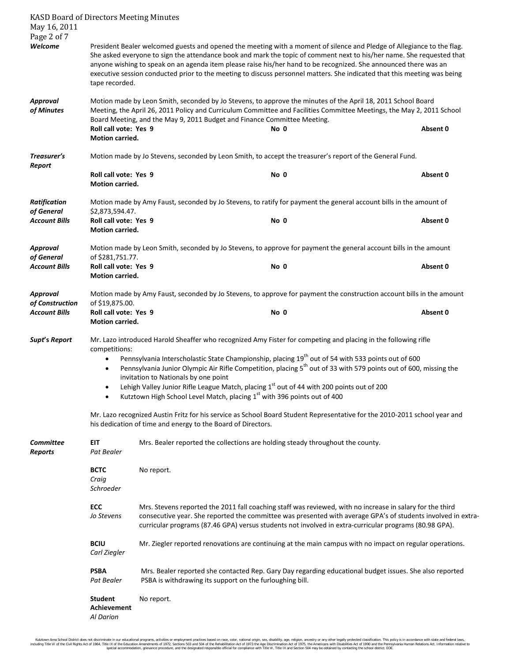| <b>KASD Board of Directors Meeting Minutes</b><br>May 16, 2011 |                                                                                                                                                                                                                                                                                                                                                                                                                                                                                                                                                                                                                             |                                                                                                                                                                     |                                                                                                                       |                                                                                                          |  |  |  |
|----------------------------------------------------------------|-----------------------------------------------------------------------------------------------------------------------------------------------------------------------------------------------------------------------------------------------------------------------------------------------------------------------------------------------------------------------------------------------------------------------------------------------------------------------------------------------------------------------------------------------------------------------------------------------------------------------------|---------------------------------------------------------------------------------------------------------------------------------------------------------------------|-----------------------------------------------------------------------------------------------------------------------|----------------------------------------------------------------------------------------------------------|--|--|--|
| Page 2 of 7<br>Welcome                                         | President Bealer welcomed guests and opened the meeting with a moment of silence and Pledge of Allegiance to the flag.<br>She asked everyone to sign the attendance book and mark the topic of comment next to his/her name. She requested that<br>anyone wishing to speak on an agenda item please raise his/her hand to be recognized. She announced there was an<br>executive session conducted prior to the meeting to discuss personnel matters. She indicated that this meeting was being<br>tape recorded.                                                                                                           |                                                                                                                                                                     |                                                                                                                       |                                                                                                          |  |  |  |
| Approval<br>of Minutes                                         | Motion made by Leon Smith, seconded by Jo Stevens, to approve the minutes of the April 18, 2011 School Board<br>Meeting, the April 26, 2011 Policy and Curriculum Committee and Facilities Committee Meetings, the May 2, 2011 School<br>Board Meeting, and the May 9, 2011 Budget and Finance Committee Meeting.                                                                                                                                                                                                                                                                                                           |                                                                                                                                                                     |                                                                                                                       |                                                                                                          |  |  |  |
|                                                                | Roll call vote: Yes 9<br>Motion carried.                                                                                                                                                                                                                                                                                                                                                                                                                                                                                                                                                                                    |                                                                                                                                                                     | No 0                                                                                                                  | Absent 0                                                                                                 |  |  |  |
| Treasurer's<br>Report                                          | Motion made by Jo Stevens, seconded by Leon Smith, to accept the treasurer's report of the General Fund.                                                                                                                                                                                                                                                                                                                                                                                                                                                                                                                    |                                                                                                                                                                     |                                                                                                                       |                                                                                                          |  |  |  |
|                                                                | Roll call vote: Yes 9<br>Motion carried.                                                                                                                                                                                                                                                                                                                                                                                                                                                                                                                                                                                    |                                                                                                                                                                     | No 0                                                                                                                  | Absent 0                                                                                                 |  |  |  |
| <b>Ratification</b><br>of General                              | Motion made by Amy Faust, seconded by Jo Stevens, to ratify for payment the general account bills in the amount of<br>\$2,873,594.47.                                                                                                                                                                                                                                                                                                                                                                                                                                                                                       |                                                                                                                                                                     |                                                                                                                       |                                                                                                          |  |  |  |
| <b>Account Bills</b>                                           | Roll call vote: Yes 9<br>Motion carried.                                                                                                                                                                                                                                                                                                                                                                                                                                                                                                                                                                                    |                                                                                                                                                                     | No 0                                                                                                                  | Absent 0                                                                                                 |  |  |  |
| <b>Approval</b>                                                | Motion made by Leon Smith, seconded by Jo Stevens, to approve for payment the general account bills in the amount<br>of \$281,751.77.                                                                                                                                                                                                                                                                                                                                                                                                                                                                                       |                                                                                                                                                                     |                                                                                                                       |                                                                                                          |  |  |  |
| of General<br><b>Account Bills</b>                             | Roll call vote: Yes 9<br><b>Motion carried.</b>                                                                                                                                                                                                                                                                                                                                                                                                                                                                                                                                                                             |                                                                                                                                                                     | No 0                                                                                                                  | Absent 0                                                                                                 |  |  |  |
| <b>Approval</b><br>of Construction                             | of \$19,875.00.                                                                                                                                                                                                                                                                                                                                                                                                                                                                                                                                                                                                             |                                                                                                                                                                     | Motion made by Amy Faust, seconded by Jo Stevens, to approve for payment the construction account bills in the amount |                                                                                                          |  |  |  |
| <b>Account Bills</b>                                           | Roll call vote: Yes 9<br>Motion carried.                                                                                                                                                                                                                                                                                                                                                                                                                                                                                                                                                                                    |                                                                                                                                                                     | No 0                                                                                                                  | Absent 0                                                                                                 |  |  |  |
| Supt's Report                                                  | Mr. Lazo introduced Harold Sheaffer who recognized Amy Fister for competing and placing in the following rifle<br>competitions:<br>Pennsylvania Interscholastic State Championship, placing 19 <sup>th</sup> out of 54 with 533 points out of 600<br>Pennsylvania Junior Olympic Air Rifle Competition, placing 5 <sup>th</sup> out of 33 with 579 points out of 600, missing the<br>invitation to Nationals by one point<br>Lehigh Valley Junior Rifle League Match, placing 1st out of 44 with 200 points out of 200<br>Kutztown High School Level Match, placing 1 <sup>st</sup> with 396 points out of 400<br>$\bullet$ |                                                                                                                                                                     |                                                                                                                       |                                                                                                          |  |  |  |
|                                                                | Mr. Lazo recognized Austin Fritz for his service as School Board Student Representative for the 2010-2011 school year and<br>his dedication of time and energy to the Board of Directors.                                                                                                                                                                                                                                                                                                                                                                                                                                   |                                                                                                                                                                     |                                                                                                                       |                                                                                                          |  |  |  |
| <b>Committee</b><br><b>Reports</b>                             | EIT<br>Pat Bealer                                                                                                                                                                                                                                                                                                                                                                                                                                                                                                                                                                                                           |                                                                                                                                                                     | Mrs. Bealer reported the collections are holding steady throughout the county.                                        |                                                                                                          |  |  |  |
|                                                                | <b>BCTC</b><br>Craig<br>Schroeder                                                                                                                                                                                                                                                                                                                                                                                                                                                                                                                                                                                           | No report.                                                                                                                                                          |                                                                                                                       |                                                                                                          |  |  |  |
|                                                                | <b>ECC</b><br>Mrs. Stevens reported the 2011 fall coaching staff was reviewed, with no increase in salary for the third<br>Jo Stevens<br>consecutive year. She reported the committee was presented with average GPA's of students involved in extra-<br>curricular programs (87.46 GPA) versus students not involved in extra-curricular programs (80.98 GPA).                                                                                                                                                                                                                                                             |                                                                                                                                                                     |                                                                                                                       |                                                                                                          |  |  |  |
|                                                                | <b>BCIU</b><br>Carl Ziegler                                                                                                                                                                                                                                                                                                                                                                                                                                                                                                                                                                                                 |                                                                                                                                                                     |                                                                                                                       | Mr. Ziegler reported renovations are continuing at the main campus with no impact on regular operations. |  |  |  |
|                                                                | <b>PSBA</b><br>Pat Bealer                                                                                                                                                                                                                                                                                                                                                                                                                                                                                                                                                                                                   | Mrs. Bealer reported she contacted Rep. Gary Day regarding educational budget issues. She also reported<br>PSBA is withdrawing its support on the furloughing bill. |                                                                                                                       |                                                                                                          |  |  |  |
|                                                                | <b>Student</b><br><b>Achievement</b><br><b>Al Darion</b>                                                                                                                                                                                                                                                                                                                                                                                                                                                                                                                                                                    | No report.                                                                                                                                                          |                                                                                                                       |                                                                                                          |  |  |  |

Kutztown Area School District loos not discriminate in our educational programs, activities or employment practices based on race, color, national orgion, ance, althan ances in methan prototer lead are, the local area fred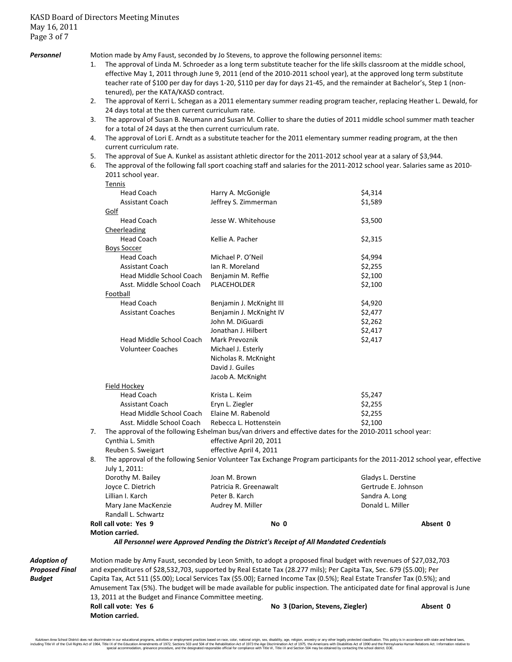*Personnel* Motion made by Amy Faust, seconded by Jo Stevens, to approve the following personnel items:

- 1. The approval of Linda M. Schroeder as a long term substitute teacher for the life skills classroom at the middle school, effective May 1, 2011 through June 9, 2011 (end of the 2010-2011 school year), at the approved long term substitute teacher rate of \$100 per day for days 1-20, \$110 per day for days 21-45, and the remainder at Bachelor's, Step 1 (nontenured), per the KATA/KASD contract.
- 2. The approval of Kerri L. Schegan as a 2011 elementary summer reading program teacher, replacing Heather L. Dewald, for 24 days total at the then current curriculum rate.
- 3. The approval of Susan B. Neumann and Susan M. Collier to share the duties of 2011 middle school summer math teacher for a total of 24 days at the then current curriculum rate.
- 4. The approval of Lori E. Arndt as a substitute teacher for the 2011 elementary summer reading program, at the then current curriculum rate.
- 5. The approval of Sue A. Kunkel as assistant athletic director for the 2011-2012 school year at a salary of \$3,944.
- 6. The approval of the following fall sport coaching staff and salaries for the 2011-2012 school year. Salaries same as 2010- 2011 school year.

|                                         |                                                                                                                                                                                                                                                                                                                                                                                                                                                                                                              | Tennis                    |                                                                                                           |                     |  |  |  |
|-----------------------------------------|--------------------------------------------------------------------------------------------------------------------------------------------------------------------------------------------------------------------------------------------------------------------------------------------------------------------------------------------------------------------------------------------------------------------------------------------------------------------------------------------------------------|---------------------------|-----------------------------------------------------------------------------------------------------------|---------------------|--|--|--|
|                                         |                                                                                                                                                                                                                                                                                                                                                                                                                                                                                                              | <b>Head Coach</b>         | Harry A. McGonigle                                                                                        | \$4,314             |  |  |  |
|                                         |                                                                                                                                                                                                                                                                                                                                                                                                                                                                                                              | <b>Assistant Coach</b>    | Jeffrey S. Zimmerman                                                                                      | \$1,589             |  |  |  |
|                                         |                                                                                                                                                                                                                                                                                                                                                                                                                                                                                                              | Golf                      |                                                                                                           |                     |  |  |  |
|                                         |                                                                                                                                                                                                                                                                                                                                                                                                                                                                                                              | <b>Head Coach</b>         | Jesse W. Whitehouse                                                                                       | \$3,500             |  |  |  |
|                                         |                                                                                                                                                                                                                                                                                                                                                                                                                                                                                                              | Cheerleading              |                                                                                                           |                     |  |  |  |
|                                         |                                                                                                                                                                                                                                                                                                                                                                                                                                                                                                              | <b>Head Coach</b>         | Kellie A. Pacher                                                                                          | \$2,315             |  |  |  |
|                                         |                                                                                                                                                                                                                                                                                                                                                                                                                                                                                                              | <b>Boys Soccer</b>        |                                                                                                           |                     |  |  |  |
|                                         |                                                                                                                                                                                                                                                                                                                                                                                                                                                                                                              | <b>Head Coach</b>         | Michael P. O'Neil                                                                                         | \$4,994             |  |  |  |
|                                         |                                                                                                                                                                                                                                                                                                                                                                                                                                                                                                              | <b>Assistant Coach</b>    | Ian R. Moreland                                                                                           | \$2,255             |  |  |  |
|                                         | Head Middle School Coach<br>Asst. Middle School Coach                                                                                                                                                                                                                                                                                                                                                                                                                                                        |                           | Benjamin M. Reffie                                                                                        | \$2,100             |  |  |  |
|                                         |                                                                                                                                                                                                                                                                                                                                                                                                                                                                                                              |                           | PLACEHOLDER                                                                                               | \$2,100             |  |  |  |
|                                         |                                                                                                                                                                                                                                                                                                                                                                                                                                                                                                              | Football                  |                                                                                                           |                     |  |  |  |
|                                         |                                                                                                                                                                                                                                                                                                                                                                                                                                                                                                              | <b>Head Coach</b>         | Benjamin J. McKnight III                                                                                  | \$4,920             |  |  |  |
|                                         |                                                                                                                                                                                                                                                                                                                                                                                                                                                                                                              | <b>Assistant Coaches</b>  | Benjamin J. McKnight IV                                                                                   | \$2,477             |  |  |  |
|                                         |                                                                                                                                                                                                                                                                                                                                                                                                                                                                                                              |                           | John M. DiGuardi                                                                                          | \$2,262             |  |  |  |
|                                         |                                                                                                                                                                                                                                                                                                                                                                                                                                                                                                              |                           | Jonathan J. Hilbert                                                                                       | \$2,417             |  |  |  |
|                                         |                                                                                                                                                                                                                                                                                                                                                                                                                                                                                                              | Head Middle School Coach  | Mark Prevoznik                                                                                            | \$2,417             |  |  |  |
|                                         |                                                                                                                                                                                                                                                                                                                                                                                                                                                                                                              | <b>Volunteer Coaches</b>  | Michael J. Esterly                                                                                        |                     |  |  |  |
|                                         |                                                                                                                                                                                                                                                                                                                                                                                                                                                                                                              |                           | Nicholas R. McKnight                                                                                      |                     |  |  |  |
|                                         |                                                                                                                                                                                                                                                                                                                                                                                                                                                                                                              |                           | David J. Guiles                                                                                           |                     |  |  |  |
|                                         |                                                                                                                                                                                                                                                                                                                                                                                                                                                                                                              |                           | Jacob A. McKnight                                                                                         |                     |  |  |  |
|                                         |                                                                                                                                                                                                                                                                                                                                                                                                                                                                                                              | Field Hockey              |                                                                                                           |                     |  |  |  |
|                                         |                                                                                                                                                                                                                                                                                                                                                                                                                                                                                                              | <b>Head Coach</b>         | Krista L. Keim                                                                                            | \$5,247             |  |  |  |
|                                         |                                                                                                                                                                                                                                                                                                                                                                                                                                                                                                              | <b>Assistant Coach</b>    | Eryn L. Ziegler                                                                                           | \$2,255             |  |  |  |
|                                         |                                                                                                                                                                                                                                                                                                                                                                                                                                                                                                              | Head Middle School Coach  | Elaine M. Rabenold                                                                                        | \$2,255             |  |  |  |
|                                         |                                                                                                                                                                                                                                                                                                                                                                                                                                                                                                              | Asst. Middle School Coach | Rebecca L. Hottenstein                                                                                    | \$2,100             |  |  |  |
|                                         | 7.                                                                                                                                                                                                                                                                                                                                                                                                                                                                                                           |                           | The approval of the following Eshelman bus/van drivers and effective dates for the 2010-2011 school year: |                     |  |  |  |
|                                         |                                                                                                                                                                                                                                                                                                                                                                                                                                                                                                              | Cynthia L. Smith          | effective April 20, 2011                                                                                  |                     |  |  |  |
|                                         |                                                                                                                                                                                                                                                                                                                                                                                                                                                                                                              | Reuben S. Sweigart        | effective April 4, 2011                                                                                   |                     |  |  |  |
|                                         | The approval of the following Senior Volunteer Tax Exchange Program participants for the 2011-2012 school year, effective<br>8.                                                                                                                                                                                                                                                                                                                                                                              |                           |                                                                                                           |                     |  |  |  |
|                                         |                                                                                                                                                                                                                                                                                                                                                                                                                                                                                                              | July 1, 2011:             |                                                                                                           |                     |  |  |  |
|                                         |                                                                                                                                                                                                                                                                                                                                                                                                                                                                                                              | Dorothy M. Bailey         | Joan M. Brown                                                                                             | Gladys L. Derstine  |  |  |  |
|                                         |                                                                                                                                                                                                                                                                                                                                                                                                                                                                                                              | Joyce C. Dietrich         | Patricia R. Greenawalt                                                                                    | Gertrude E. Johnson |  |  |  |
|                                         |                                                                                                                                                                                                                                                                                                                                                                                                                                                                                                              | Lillian I. Karch          | Peter B. Karch                                                                                            | Sandra A. Long      |  |  |  |
|                                         | Mary Jane MacKenzie                                                                                                                                                                                                                                                                                                                                                                                                                                                                                          |                           | Audrey M. Miller                                                                                          | Donald L. Miller    |  |  |  |
|                                         |                                                                                                                                                                                                                                                                                                                                                                                                                                                                                                              | Randall L. Schwartz       |                                                                                                           |                     |  |  |  |
|                                         | Roll call vote: Yes 9<br>Motion carried.                                                                                                                                                                                                                                                                                                                                                                                                                                                                     |                           | No 0                                                                                                      | Absent 0            |  |  |  |
|                                         |                                                                                                                                                                                                                                                                                                                                                                                                                                                                                                              |                           |                                                                                                           |                     |  |  |  |
|                                         |                                                                                                                                                                                                                                                                                                                                                                                                                                                                                                              |                           | All Personnel were Approved Pending the District's Receipt of All Mandated Credentials                    |                     |  |  |  |
| Adoption of<br>Proposed Final<br>Budget | Motion made by Amy Faust, seconded by Leon Smith, to adopt a proposed final budget with revenues of \$27,032,703<br>and expenditures of \$28,532,703, supported by Real Estate Tax (28.277 mils); Per Capita Tax, Sec. 679 (\$5.00); Per<br>Capita Tax, Act 511 (\$5.00); Local Services Tax (\$5.00); Earned Income Tax (0.5%); Real Estate Transfer Tax (0.5%); and<br>Approximant Text (EQA). The business will be meethed applied to be public increasing The entirempted data for final emmersel in two |                           |                                                                                                           |                     |  |  |  |

Amusement Tax (5%). The budget will be made available for public inspection. The anticipated date for final approval is June 13, 2011 at the Budget and Finance Committee meeting. **Roll call vote: Yes 6 No 3 (Darion, Stevens, Ziegler) Absent 0**

**Motion carried.**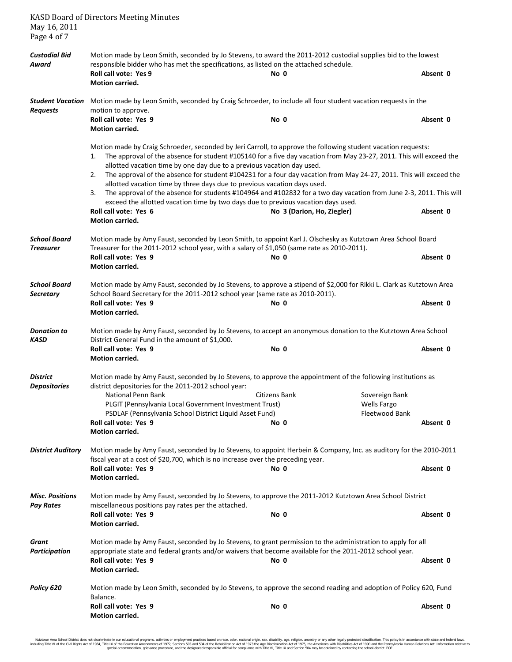| May 16, 2011<br>Page 4 of 7                | <b>KASD Board of Directors Meeting Minutes</b>                                                                                                                                                                                                               |                                                                                                                                                                                                                                                                                                                                                                                                                                                                                                                                                                                                                                                                                |                                                                    |  |  |  |  |  |
|--------------------------------------------|--------------------------------------------------------------------------------------------------------------------------------------------------------------------------------------------------------------------------------------------------------------|--------------------------------------------------------------------------------------------------------------------------------------------------------------------------------------------------------------------------------------------------------------------------------------------------------------------------------------------------------------------------------------------------------------------------------------------------------------------------------------------------------------------------------------------------------------------------------------------------------------------------------------------------------------------------------|--------------------------------------------------------------------|--|--|--|--|--|
| <b>Custodial Bid</b><br>Award              | Motion made by Leon Smith, seconded by Jo Stevens, to award the 2011-2012 custodial supplies bid to the lowest<br>responsible bidder who has met the specifications, as listed on the attached schedule.<br>Roll call vote: Yes 9<br>No 0<br>Motion carried. |                                                                                                                                                                                                                                                                                                                                                                                                                                                                                                                                                                                                                                                                                |                                                                    |  |  |  |  |  |
| <b>Student Vacation</b><br><b>Requests</b> | Motion made by Leon Smith, seconded by Craig Schroeder, to include all four student vacation requests in the<br>motion to approve.                                                                                                                           |                                                                                                                                                                                                                                                                                                                                                                                                                                                                                                                                                                                                                                                                                |                                                                    |  |  |  |  |  |
|                                            | Roll call vote: Yes 9<br>Motion carried.                                                                                                                                                                                                                     | No 0                                                                                                                                                                                                                                                                                                                                                                                                                                                                                                                                                                                                                                                                           | Absent 0                                                           |  |  |  |  |  |
|                                            | 1.<br>allotted vacation time by one day due to a previous vacation day used.<br>2.<br>3.<br>Roll call vote: Yes 6<br><b>Motion carried.</b>                                                                                                                  | Motion made by Craig Schroeder, seconded by Jeri Carroll, to approve the following student vacation requests:<br>The approval of the absence for student #105140 for a five day vacation from May 23-27, 2011. This will exceed the<br>The approval of the absence for student #104231 for a four day vacation from May 24-27, 2011. This will exceed the<br>allotted vacation time by three days due to previous vacation days used.<br>The approval of the absence for students #104964 and #102832 for a two day vacation from June 2-3, 2011. This will<br>exceed the allotted vacation time by two days due to previous vacation days used.<br>No 3 (Darion, Ho, Ziegler) | Absent 0                                                           |  |  |  |  |  |
| <b>School Board</b><br><b>Treasurer</b>    | Motion made by Amy Faust, seconded by Leon Smith, to appoint Karl J. Olschesky as Kutztown Area School Board<br>Treasurer for the 2011-2012 school year, with a salary of \$1,050 (same rate as 2010-2011).                                                  |                                                                                                                                                                                                                                                                                                                                                                                                                                                                                                                                                                                                                                                                                |                                                                    |  |  |  |  |  |
|                                            | Roll call vote: Yes 9<br><b>Motion carried.</b>                                                                                                                                                                                                              | No 0                                                                                                                                                                                                                                                                                                                                                                                                                                                                                                                                                                                                                                                                           | Absent 0                                                           |  |  |  |  |  |
| <b>School Board</b><br><b>Secretary</b>    | Motion made by Amy Faust, seconded by Jo Stevens, to approve a stipend of \$2,000 for Rikki L. Clark as Kutztown Area<br>School Board Secretary for the 2011-2012 school year (same rate as 2010-2011).<br>Roll call vote: Yes 9<br>No 0                     |                                                                                                                                                                                                                                                                                                                                                                                                                                                                                                                                                                                                                                                                                |                                                                    |  |  |  |  |  |
|                                            | Motion carried.                                                                                                                                                                                                                                              |                                                                                                                                                                                                                                                                                                                                                                                                                                                                                                                                                                                                                                                                                | Absent 0                                                           |  |  |  |  |  |
| <b>Donation to</b><br><b>KASD</b>          | Motion made by Amy Faust, seconded by Jo Stevens, to accept an anonymous donation to the Kutztown Area School<br>District General Fund in the amount of \$1,000.                                                                                             |                                                                                                                                                                                                                                                                                                                                                                                                                                                                                                                                                                                                                                                                                |                                                                    |  |  |  |  |  |
|                                            | Roll call vote: Yes 9<br>Motion carried.                                                                                                                                                                                                                     | No 0                                                                                                                                                                                                                                                                                                                                                                                                                                                                                                                                                                                                                                                                           | Absent 0                                                           |  |  |  |  |  |
| District<br><b>Depositories</b>            | district depositories for the 2011-2012 school year:<br>National Penn Bank<br>PLGIT (Pennsylvania Local Government Investment Trust)<br>PSDLAF (Pennsylvania School District Liquid Asset Fund)<br>Roll call vote: Yes 9<br>Motion carried.                  | Motion made by Amy Faust, seconded by Jo Stevens, to approve the appointment of the following institutions as<br>Citizens Bank<br>No 0                                                                                                                                                                                                                                                                                                                                                                                                                                                                                                                                         | Sovereign Bank<br><b>Wells Fargo</b><br>Fleetwood Bank<br>Absent 0 |  |  |  |  |  |
| <b>District Auditory</b>                   | Motion made by Amy Faust, seconded by Jo Stevens, to appoint Herbein & Company, Inc. as auditory for the 2010-2011<br>fiscal year at a cost of \$20,700, which is no increase over the preceding year.                                                       |                                                                                                                                                                                                                                                                                                                                                                                                                                                                                                                                                                                                                                                                                |                                                                    |  |  |  |  |  |
|                                            | Roll call vote: Yes 9<br>Motion carried.                                                                                                                                                                                                                     | No 0                                                                                                                                                                                                                                                                                                                                                                                                                                                                                                                                                                                                                                                                           | Absent 0                                                           |  |  |  |  |  |
| <b>Misc. Positions</b><br><b>Pay Rates</b> | Motion made by Amy Faust, seconded by Jo Stevens, to approve the 2011-2012 Kutztown Area School District<br>miscellaneous positions pay rates per the attached.<br>Roll call vote: Yes 9<br>No 0                                                             |                                                                                                                                                                                                                                                                                                                                                                                                                                                                                                                                                                                                                                                                                |                                                                    |  |  |  |  |  |
|                                            | Motion carried.                                                                                                                                                                                                                                              |                                                                                                                                                                                                                                                                                                                                                                                                                                                                                                                                                                                                                                                                                | Absent 0                                                           |  |  |  |  |  |
| Grant<br><b>Participation</b>              | Motion made by Amy Faust, seconded by Jo Stevens, to grant permission to the administration to apply for all<br>appropriate state and federal grants and/or waivers that become available for the 2011-2012 school year.                                     |                                                                                                                                                                                                                                                                                                                                                                                                                                                                                                                                                                                                                                                                                |                                                                    |  |  |  |  |  |
|                                            | Roll call vote: Yes 9<br>Motion carried.                                                                                                                                                                                                                     | No 0                                                                                                                                                                                                                                                                                                                                                                                                                                                                                                                                                                                                                                                                           | Absent 0                                                           |  |  |  |  |  |
| Policy 620                                 | Motion made by Leon Smith, seconded by Jo Stevens, to approve the second reading and adoption of Policy 620, Fund<br>Balance.                                                                                                                                |                                                                                                                                                                                                                                                                                                                                                                                                                                                                                                                                                                                                                                                                                |                                                                    |  |  |  |  |  |
|                                            | Roll call vote: Yes 9<br>Motion carried.                                                                                                                                                                                                                     | No 0                                                                                                                                                                                                                                                                                                                                                                                                                                                                                                                                                                                                                                                                           | Absent 0                                                           |  |  |  |  |  |

Kutztown Area School District loos not discriminate in our educational programs, activities or employment practices based on race, color, national orgion, ance, althan ances in methan prototer lead are, the local area fred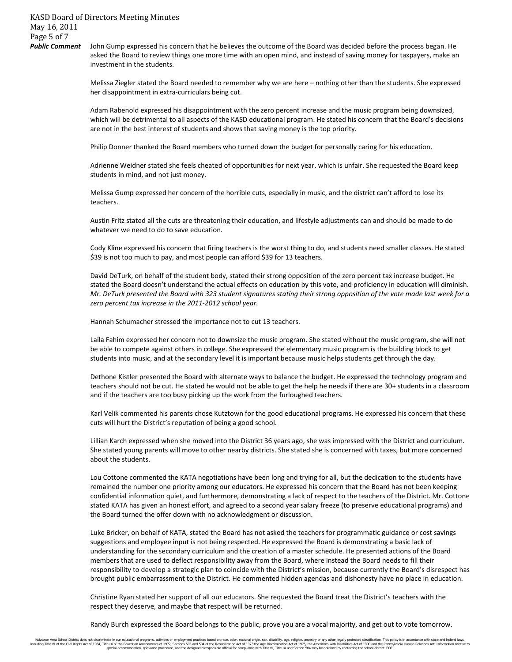John Gump expressed his concern that he believes the outcome of the Board was decided before the process began. He asked the Board to review things one more time with an open mind, and instead of saving money for taxpayers, make an investment in the students.

Melissa Ziegler stated the Board needed to remember why we are here – nothing other than the students. She expressed her disappointment in extra-curriculars being cut.

Adam Rabenold expressed his disappointment with the zero percent increase and the music program being downsized, which will be detrimental to all aspects of the KASD educational program. He stated his concern that the Board's decisions are not in the best interest of students and shows that saving money is the top priority.

Philip Donner thanked the Board members who turned down the budget for personally caring for his education.

Adrienne Weidner stated she feels cheated of opportunities for next year, which is unfair. She requested the Board keep students in mind, and not just money.

Melissa Gump expressed her concern of the horrible cuts, especially in music, and the district can't afford to lose its teachers.

Austin Fritz stated all the cuts are threatening their education, and lifestyle adjustments can and should be made to do whatever we need to do to save education.

Cody Kline expressed his concern that firing teachers is the worst thing to do, and students need smaller classes. He stated \$39 is not too much to pay, and most people can afford \$39 for 13 teachers.

David DeTurk, on behalf of the student body, stated their strong opposition of the zero percent tax increase budget. He stated the Board doesn't understand the actual effects on education by this vote, and proficiency in education will diminish. *Mr. DeTurk presented the Board with 323 student signatures stating their strong opposition of the vote made last week for a zero percent tax increase in the 2011-2012 school year.*

Hannah Schumacher stressed the importance not to cut 13 teachers.

Laila Fahim expressed her concern not to downsize the music program. She stated without the music program, she will not be able to compete against others in college. She expressed the elementary music program is the building block to get students into music, and at the secondary level it is important because music helps students get through the day.

Dethone Kistler presented the Board with alternate ways to balance the budget. He expressed the technology program and teachers should not be cut. He stated he would not be able to get the help he needs if there are 30+ students in a classroom and if the teachers are too busy picking up the work from the furloughed teachers.

Karl Velik commented his parents chose Kutztown for the good educational programs. He expressed his concern that these cuts will hurt the District's reputation of being a good school.

Lillian Karch expressed when she moved into the District 36 years ago, she was impressed with the District and curriculum. She stated young parents will move to other nearby districts. She stated she is concerned with taxes, but more concerned about the students.

Lou Cottone commented the KATA negotiations have been long and trying for all, but the dedication to the students have remained the number one priority among our educators. He expressed his concern that the Board has not been keeping confidential information quiet, and furthermore, demonstrating a lack of respect to the teachers of the District. Mr. Cottone stated KATA has given an honest effort, and agreed to a second year salary freeze (to preserve educational programs) and the Board turned the offer down with no acknowledgment or discussion.

Luke Bricker, on behalf of KATA, stated the Board has not asked the teachers for programmatic guidance or cost savings suggestions and employee input is not being respected. He expressed the Board is demonstrating a basic lack of understanding for the secondary curriculum and the creation of a master schedule. He presented actions of the Board members that are used to deflect responsibility away from the Board, where instead the Board needs to fill their responsibility to develop a strategic plan to coincide with the District's mission, because currently the Board's disrespect has brought public embarrassment to the District. He commented hidden agendas and dishonesty have no place in education.

Christine Ryan stated her support of all our educators. She requested the Board treat the District's teachers with the respect they deserve, and maybe that respect will be returned.

Randy Burch expressed the Board belongs to the public, prove you are a vocal majority, and get out to vote tomorrow.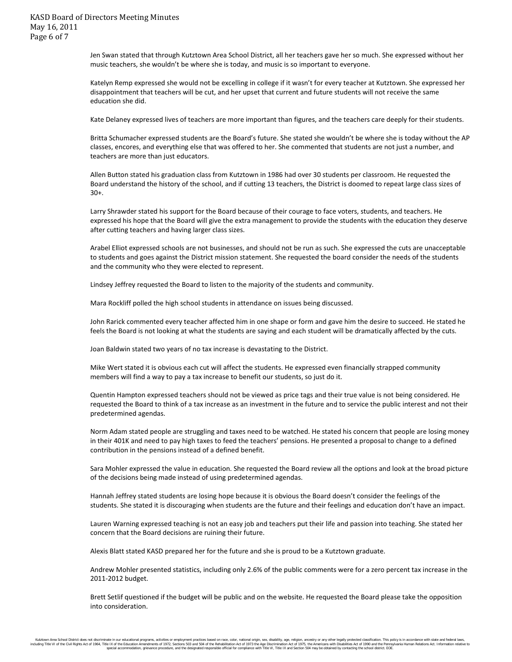Jen Swan stated that through Kutztown Area School District, all her teachers gave her so much. She expressed without her music teachers, she wouldn't be where she is today, and music is so important to everyone.

Katelyn Remp expressed she would not be excelling in college if it wasn't for every teacher at Kutztown. She expressed her disappointment that teachers will be cut, and her upset that current and future students will not receive the same education she did.

Kate Delaney expressed lives of teachers are more important than figures, and the teachers care deeply for their students.

Britta Schumacher expressed students are the Board's future. She stated she wouldn't be where she is today without the AP classes, encores, and everything else that was offered to her. She commented that students are not just a number, and teachers are more than just educators.

Allen Button stated his graduation class from Kutztown in 1986 had over 30 students per classroom. He requested the Board understand the history of the school, and if cutting 13 teachers, the District is doomed to repeat large class sizes of 30+.

Larry Shrawder stated his support for the Board because of their courage to face voters, students, and teachers. He expressed his hope that the Board will give the extra management to provide the students with the education they deserve after cutting teachers and having larger class sizes.

Arabel Elliot expressed schools are not businesses, and should not be run as such. She expressed the cuts are unacceptable to students and goes against the District mission statement. She requested the board consider the needs of the students and the community who they were elected to represent.

Lindsey Jeffrey requested the Board to listen to the majority of the students and community.

Mara Rockliff polled the high school students in attendance on issues being discussed.

John Rarick commented every teacher affected him in one shape or form and gave him the desire to succeed. He stated he feels the Board is not looking at what the students are saying and each student will be dramatically affected by the cuts.

Joan Baldwin stated two years of no tax increase is devastating to the District.

Mike Wert stated it is obvious each cut will affect the students. He expressed even financially strapped community members will find a way to pay a tax increase to benefit our students, so just do it.

Quentin Hampton expressed teachers should not be viewed as price tags and their true value is not being considered. He requested the Board to think of a tax increase as an investment in the future and to service the public interest and not their predetermined agendas.

Norm Adam stated people are struggling and taxes need to be watched. He stated his concern that people are losing money in their 401K and need to pay high taxes to feed the teachers' pensions. He presented a proposal to change to a defined contribution in the pensions instead of a defined benefit.

Sara Mohler expressed the value in education. She requested the Board review all the options and look at the broad picture of the decisions being made instead of using predetermined agendas.

Hannah Jeffrey stated students are losing hope because it is obvious the Board doesn't consider the feelings of the students. She stated it is discouraging when students are the future and their feelings and education don't have an impact.

Lauren Warning expressed teaching is not an easy job and teachers put their life and passion into teaching. She stated her concern that the Board decisions are ruining their future.

Alexis Blatt stated KASD prepared her for the future and she is proud to be a Kutztown graduate.

Andrew Mohler presented statistics, including only 2.6% of the public comments were for a zero percent tax increase in the 2011-2012 budget.

Brett Setlif questioned if the budget will be public and on the website. He requested the Board please take the opposition into consideration.